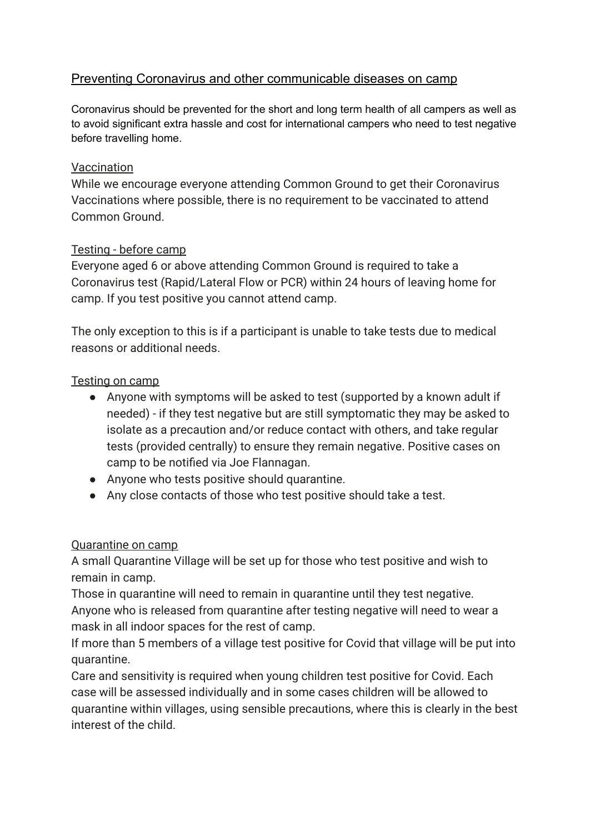# Preventing Coronavirus and other communicable diseases on camp

Coronavirus should be prevented for the short and long term health of all campers as well as to avoid significant extra hassle and cost for international campers who need to test negative before travelling home.

### **Vaccination**

While we encourage everyone attending Common Ground to get their Coronavirus Vaccinations where possible, there is no requirement to be vaccinated to attend Common Ground.

## Testing - before camp

Everyone aged 6 or above attending Common Ground is required to take a Coronavirus test (Rapid/Lateral Flow or PCR) within 24 hours of leaving home for camp. If you test positive you cannot attend camp.

The only exception to this is if a participant is unable to take tests due to medical reasons or additional needs.

## Testing on camp

- Anyone with symptoms will be asked to test (supported by a known adult if needed) - if they test negative but are still symptomatic they may be asked to isolate as a precaution and/or reduce contact with others, and take regular tests (provided centrally) to ensure they remain negative. Positive cases on camp to be notified via Joe Flannagan.
- Anyone who tests positive should quarantine.
- Any close contacts of those who test positive should take a test.

#### Quarantine on camp

A small Quarantine Village will be set up for those who test positive and wish to remain in camp.

Those in quarantine will need to remain in quarantine until they test negative. Anyone who is released from quarantine after testing negative will need to wear a mask in all indoor spaces for the rest of camp.

If more than 5 members of a village test positive for Covid that village will be put into quarantine.

Care and sensitivity is required when young children test positive for Covid. Each case will be assessed individually and in some cases children will be allowed to quarantine within villages, using sensible precautions, where this is clearly in the best interest of the child.